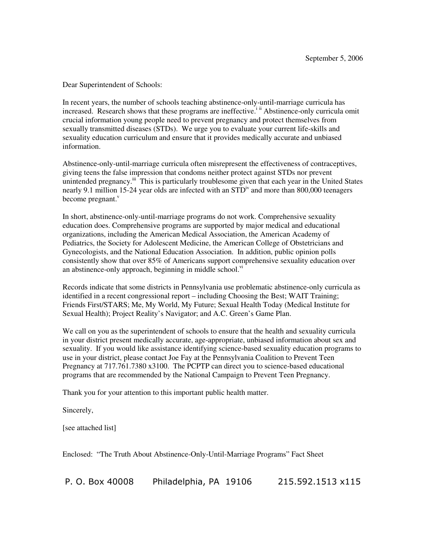Dear Superintendent of Schools:

In recent years, the number of schools teaching abstinence-only-until-marriage curricula has increased. Research shows that these programs are ineffective.<sup>i ii</sup> Abstinence-only curricula omit crucial information young people need to prevent pregnancy and protect themselves from sexually transmitted diseases (STDs). We urge you to evaluate your current life-skills and sexuality education curriculum and ensure that it provides medically accurate and unbiased information.

Abstinence-only-until-marriage curricula often misrepresent the effectiveness of contraceptives, giving teens the false impression that condoms neither protect against STDs nor prevent unintended pregnancy.<sup>iii</sup> This is particularly troublesome given that each year in the United States nearly 9.1 million 15-24 year olds are infected with an  $STD<sup>iv</sup>$  and more than 800,000 teenagers become pregnant. $v$ 

In short, abstinence-only-until-marriage programs do not work. Comprehensive sexuality education does. Comprehensive programs are supported by major medical and educational organizations, including the American Medical Association, the American Academy of Pediatrics, the Society for Adolescent Medicine, the American College of Obstetricians and Gynecologists, and the National Education Association. In addition, public opinion polls consistently show that over 85% of Americans support comprehensive sexuality education over an abstinence-only approach, beginning in middle school.<sup>vi</sup>

Records indicate that some districts in Pennsylvania use problematic abstinence-only curricula as identified in a recent congressional report – including Choosing the Best; WAIT Training; Friends First/STARS; Me, My World, My Future; Sexual Health Today (Medical Institute for Sexual Health); Project Reality's Navigator; and A.C. Green's Game Plan.

We call on you as the superintendent of schools to ensure that the health and sexuality curricula in your district present medically accurate, age-appropriate, unbiased information about sex and sexuality. If you would like assistance identifying science-based sexuality education programs to use in your district, please contact Joe Fay at the Pennsylvania Coalition to Prevent Teen Pregnancy at 717.761.7380 x3100. The PCPTP can direct you to science-based educational programs that are recommended by the National Campaign to Prevent Teen Pregnancy.

Thank you for your attention to this important public health matter.

Sincerely,

[see attached list]

Enclosed: "The Truth About Abstinence-Only-Until-Marriage Programs" Fact Sheet

P. O. Box 40008 Philadelphia, PA 19106 215.592.1513 x115